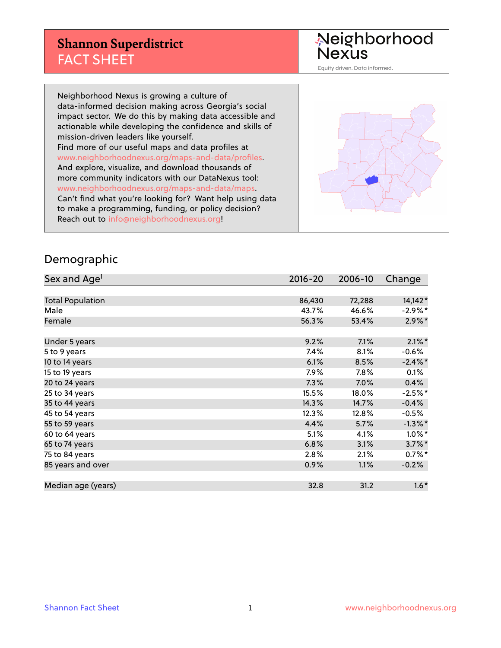#### **Shannon Superdistrict** FACT SHEET

Neighborhood<br>Nexus

Equity driven. Data informed.

Neighborhood Nexus is growing a culture of data-informed decision making across Georgia's social impact sector. We do this by making data accessible and actionable while developing the confidence and skills of mission-driven leaders like yourself. Find more of our useful maps and data profiles at www.neighborhoodnexus.org/maps-and-data/profiles. And explore, visualize, and download thousands of more community indicators with our DataNexus tool: www.neighborhoodnexus.org/maps-and-data/maps. Can't find what you're looking for? Want help using data to make a programming, funding, or policy decision? Reach out to [info@neighborhoodnexus.org!](mailto:info@neighborhoodnexus.org)



#### Demographic

| Sex and Age <sup>1</sup> | $2016 - 20$ | 2006-10 | Change     |
|--------------------------|-------------|---------|------------|
|                          |             |         |            |
| <b>Total Population</b>  | 86,430      | 72,288  | $14,142*$  |
| Male                     | 43.7%       | 46.6%   | $-2.9%$ *  |
| Female                   | 56.3%       | 53.4%   | $2.9\%*$   |
|                          |             |         |            |
| Under 5 years            | 9.2%        | 7.1%    | $2.1\%$ *  |
| 5 to 9 years             | 7.4%        | 8.1%    | $-0.6%$    |
| 10 to 14 years           | 6.1%        | 8.5%    | $-2.4\%$ * |
| 15 to 19 years           | 7.9%        | 7.8%    | 0.1%       |
| 20 to 24 years           | 7.3%        | 7.0%    | 0.4%       |
| 25 to 34 years           | 15.5%       | 18.0%   | $-2.5%$ *  |
| 35 to 44 years           | 14.3%       | 14.7%   | $-0.4%$    |
| 45 to 54 years           | 12.3%       | 12.8%   | $-0.5%$    |
| 55 to 59 years           | 4.4%        | 5.7%    | $-1.3\%$ * |
| 60 to 64 years           | 5.1%        | 4.1%    | $1.0\%$ *  |
| 65 to 74 years           | 6.8%        | 3.1%    | $3.7\%$ *  |
| 75 to 84 years           | 2.8%        | 2.1%    | $0.7\%$ *  |
| 85 years and over        | 0.9%        | 1.1%    | $-0.2%$    |
|                          |             |         |            |
| Median age (years)       | 32.8        | 31.2    | $1.6*$     |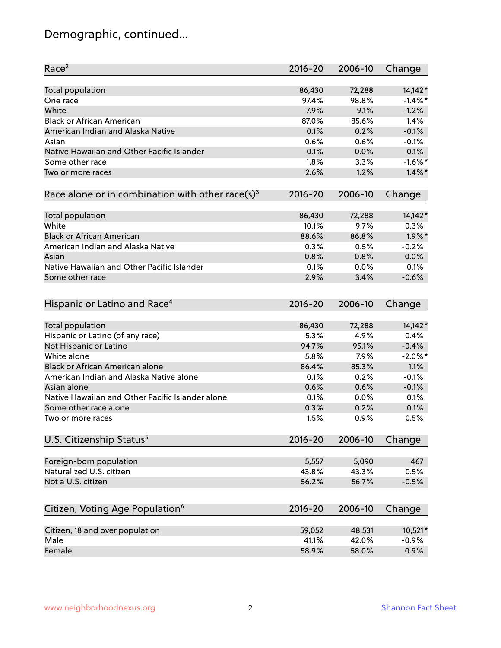# Demographic, continued...

| Race <sup>2</sup>                                            | $2016 - 20$ | 2006-10 | Change     |
|--------------------------------------------------------------|-------------|---------|------------|
| <b>Total population</b>                                      | 86,430      | 72,288  | 14,142*    |
| One race                                                     | 97.4%       | 98.8%   | $-1.4\%$ * |
| White                                                        | 7.9%        | 9.1%    | $-1.2%$    |
| <b>Black or African American</b>                             | 87.0%       | 85.6%   | 1.4%       |
| American Indian and Alaska Native                            | 0.1%        | 0.2%    | $-0.1%$    |
| Asian                                                        | 0.6%        | 0.6%    | $-0.1%$    |
| Native Hawaiian and Other Pacific Islander                   | 0.1%        | 0.0%    | 0.1%       |
| Some other race                                              | 1.8%        | 3.3%    | $-1.6\%$ * |
| Two or more races                                            | 2.6%        | 1.2%    | $1.4\%$ *  |
|                                                              |             |         |            |
| Race alone or in combination with other race(s) <sup>3</sup> | $2016 - 20$ | 2006-10 | Change     |
|                                                              |             |         |            |
| Total population                                             | 86,430      | 72,288  | 14,142*    |
| White                                                        | 10.1%       | 9.7%    | 0.3%       |
| <b>Black or African American</b>                             | 88.6%       | 86.8%   | $1.9\%$ *  |
| American Indian and Alaska Native                            | 0.3%        | 0.5%    | $-0.2%$    |
| Asian                                                        | 0.8%        | 0.8%    | 0.0%       |
| Native Hawaiian and Other Pacific Islander                   | 0.1%        | 0.0%    | 0.1%       |
| Some other race                                              | 2.9%        | 3.4%    | $-0.6%$    |
| Hispanic or Latino and Race <sup>4</sup>                     | $2016 - 20$ | 2006-10 | Change     |
| <b>Total population</b>                                      | 86,430      | 72,288  | $14,142*$  |
| Hispanic or Latino (of any race)                             | 5.3%        | 4.9%    | 0.4%       |
| Not Hispanic or Latino                                       | 94.7%       | 95.1%   | $-0.4%$    |
| White alone                                                  | 5.8%        | 7.9%    | $-2.0\%$ * |
| Black or African American alone                              | 86.4%       | 85.3%   | 1.1%       |
| American Indian and Alaska Native alone                      |             |         | $-0.1%$    |
|                                                              | 0.1%        | 0.2%    |            |
| Asian alone                                                  | 0.6%        | 0.6%    | $-0.1%$    |
| Native Hawaiian and Other Pacific Islander alone             | 0.1%        | 0.0%    | 0.1%       |
| Some other race alone                                        | 0.3%        | 0.2%    | 0.1%       |
| Two or more races                                            | 1.5%        | 0.9%    | 0.5%       |
| U.S. Citizenship Status <sup>5</sup>                         | $2016 - 20$ | 2006-10 | Change     |
| Foreign-born population                                      | 5,557       | 5,090   | 467        |
| Naturalized U.S. citizen                                     | 43.8%       | 43.3%   | 0.5%       |
| Not a U.S. citizen                                           | 56.2%       | 56.7%   | $-0.5%$    |
|                                                              |             |         |            |
| Citizen, Voting Age Population <sup>6</sup>                  | $2016 - 20$ | 2006-10 | Change     |
| Citizen, 18 and over population                              | 59,052      | 48,531  | 10,521*    |
| Male                                                         | 41.1%       | 42.0%   | $-0.9%$    |
| Female                                                       | 58.9%       | 58.0%   | 0.9%       |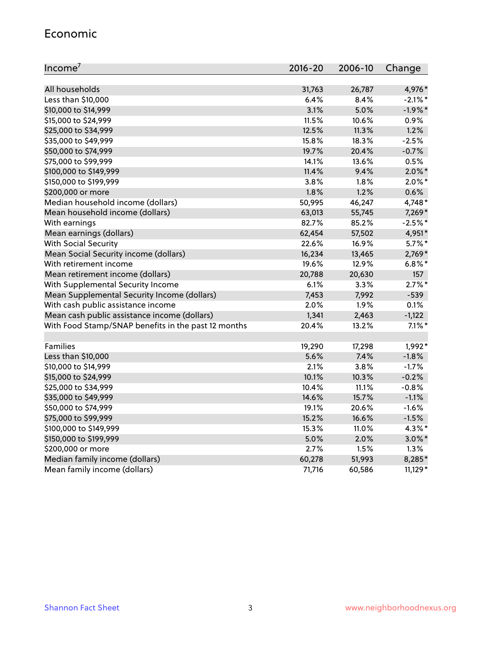#### Economic

| Income <sup>7</sup>                                 | $2016 - 20$ | 2006-10 | Change     |
|-----------------------------------------------------|-------------|---------|------------|
|                                                     |             |         |            |
| All households                                      | 31,763      | 26,787  | 4,976*     |
| Less than \$10,000                                  | 6.4%        | 8.4%    | $-2.1\%$ * |
| \$10,000 to \$14,999                                | 3.1%        | 5.0%    | $-1.9%$ *  |
| \$15,000 to \$24,999                                | 11.5%       | 10.6%   | 0.9%       |
| \$25,000 to \$34,999                                | 12.5%       | 11.3%   | 1.2%       |
| \$35,000 to \$49,999                                | 15.8%       | 18.3%   | $-2.5%$    |
| \$50,000 to \$74,999                                | 19.7%       | 20.4%   | $-0.7%$    |
| \$75,000 to \$99,999                                | 14.1%       | 13.6%   | 0.5%       |
| \$100,000 to \$149,999                              | 11.4%       | 9.4%    | $2.0\%$ *  |
| \$150,000 to \$199,999                              | 3.8%        | 1.8%    | $2.0\%$ *  |
| \$200,000 or more                                   | 1.8%        | 1.2%    | 0.6%       |
| Median household income (dollars)                   | 50,995      | 46,247  | 4,748*     |
| Mean household income (dollars)                     | 63,013      | 55,745  | $7,269*$   |
| With earnings                                       | 82.7%       | 85.2%   | $-2.5%$ *  |
| Mean earnings (dollars)                             | 62,454      | 57,502  | 4,951*     |
| <b>With Social Security</b>                         | 22.6%       | 16.9%   | $5.7\%$ *  |
| Mean Social Security income (dollars)               | 16,234      | 13,465  | 2,769*     |
| With retirement income                              | 19.6%       | 12.9%   | $6.8\%$ *  |
| Mean retirement income (dollars)                    | 20,788      | 20,630  | 157        |
| With Supplemental Security Income                   | 6.1%        | 3.3%    | $2.7\%$ *  |
| Mean Supplemental Security Income (dollars)         | 7,453       | 7,992   | $-539$     |
| With cash public assistance income                  | 2.0%        | 1.9%    | 0.1%       |
| Mean cash public assistance income (dollars)        | 1,341       | 2,463   | $-1,122$   |
| With Food Stamp/SNAP benefits in the past 12 months | 20.4%       | 13.2%   | $7.1\%$ *  |
|                                                     |             |         |            |
| Families                                            | 19,290      | 17,298  | 1,992*     |
| Less than \$10,000                                  | 5.6%        | 7.4%    | $-1.8%$    |
| \$10,000 to \$14,999                                | 2.1%        | 3.8%    | $-1.7%$    |
| \$15,000 to \$24,999                                | 10.1%       | 10.3%   | $-0.2%$    |
| \$25,000 to \$34,999                                | 10.4%       | 11.1%   | $-0.8%$    |
| \$35,000 to \$49,999                                | 14.6%       | 15.7%   | $-1.1%$    |
| \$50,000 to \$74,999                                | 19.1%       | 20.6%   | $-1.6%$    |
| \$75,000 to \$99,999                                | 15.2%       | 16.6%   | $-1.5%$    |
| \$100,000 to \$149,999                              | 15.3%       | 11.0%   | 4.3%*      |
| \$150,000 to \$199,999                              | 5.0%        | 2.0%    | $3.0\%$ *  |
| \$200,000 or more                                   | 2.7%        | 1.5%    | 1.3%       |
| Median family income (dollars)                      | 60,278      | 51,993  | 8,285*     |
| Mean family income (dollars)                        | 71,716      | 60,586  | $11,129*$  |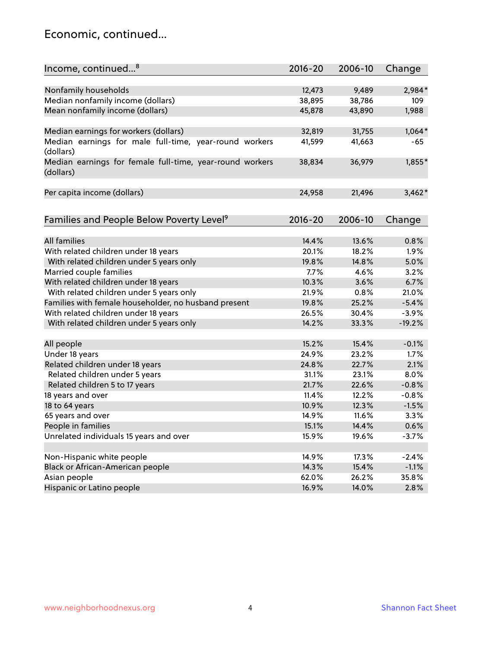#### Economic, continued...

| Income, continued <sup>8</sup>                                        | $2016 - 20$ | 2006-10      | Change           |
|-----------------------------------------------------------------------|-------------|--------------|------------------|
|                                                                       |             |              |                  |
| Nonfamily households                                                  | 12,473      | 9,489        | 2,984*           |
| Median nonfamily income (dollars)                                     | 38,895      | 38,786       | 109              |
| Mean nonfamily income (dollars)                                       | 45,878      | 43,890       | 1,988            |
| Median earnings for workers (dollars)                                 | 32,819      | 31,755       | $1,064*$         |
| Median earnings for male full-time, year-round workers                | 41,599      | 41,663       | -65              |
| (dollars)                                                             |             |              |                  |
| Median earnings for female full-time, year-round workers<br>(dollars) | 38,834      | 36,979       | 1,855*           |
| Per capita income (dollars)                                           | 24,958      | 21,496       | $3,462*$         |
|                                                                       |             |              |                  |
| Families and People Below Poverty Level <sup>9</sup>                  | $2016 - 20$ | 2006-10      | Change           |
| <b>All families</b>                                                   | 14.4%       | 13.6%        | 0.8%             |
| With related children under 18 years                                  | 20.1%       | 18.2%        | 1.9%             |
|                                                                       | 19.8%       | 14.8%        | 5.0%             |
| With related children under 5 years only                              | 7.7%        |              |                  |
| Married couple families                                               |             | 4.6%         | 3.2%<br>6.7%     |
| With related children under 18 years                                  | 10.3%       | 3.6%<br>0.8% |                  |
| With related children under 5 years only                              | 21.9%       | 25.2%        | 21.0%<br>$-5.4%$ |
| Families with female householder, no husband present                  | 19.8%       |              |                  |
| With related children under 18 years                                  | 26.5%       | 30.4%        | $-3.9%$          |
| With related children under 5 years only                              | 14.2%       | 33.3%        | $-19.2%$         |
| All people                                                            | 15.2%       | 15.4%        | $-0.1%$          |
| Under 18 years                                                        | 24.9%       | 23.2%        | 1.7%             |
| Related children under 18 years                                       | 24.8%       | 22.7%        | 2.1%             |
| Related children under 5 years                                        | 31.1%       | 23.1%        | 8.0%             |
| Related children 5 to 17 years                                        | 21.7%       | 22.6%        | $-0.8%$          |
| 18 years and over                                                     | 11.4%       | 12.2%        | $-0.8%$          |
| 18 to 64 years                                                        | 10.9%       | 12.3%        | $-1.5%$          |
| 65 years and over                                                     | 14.9%       | 11.6%        | 3.3%             |
| People in families                                                    | 15.1%       | 14.4%        | 0.6%             |
| Unrelated individuals 15 years and over                               | 15.9%       | 19.6%        | $-3.7%$          |
|                                                                       |             |              |                  |
| Non-Hispanic white people                                             | 14.9%       | 17.3%        | $-2.4%$          |
| Black or African-American people                                      | 14.3%       | 15.4%        | $-1.1%$          |
| Asian people                                                          | 62.0%       | 26.2%        | 35.8%            |
| Hispanic or Latino people                                             | 16.9%       | 14.0%        | 2.8%             |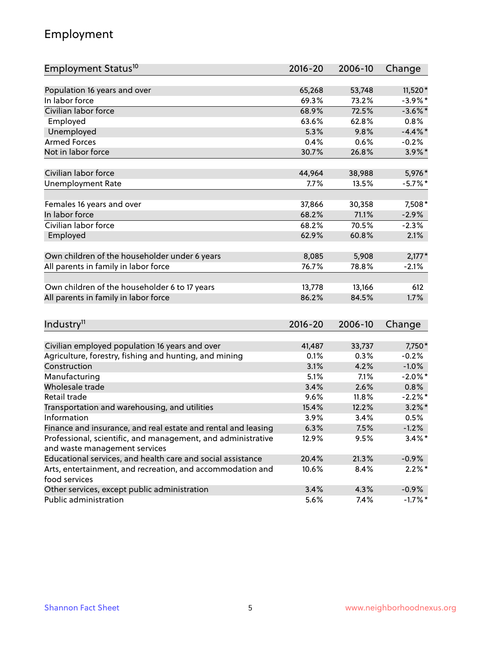## Employment

| Employment Status <sup>10</sup>                                                               | $2016 - 20$ | 2006-10 | Change     |
|-----------------------------------------------------------------------------------------------|-------------|---------|------------|
|                                                                                               |             |         |            |
| Population 16 years and over                                                                  | 65,268      | 53,748  | 11,520*    |
| In labor force                                                                                | 69.3%       | 73.2%   | $-3.9\%$ * |
| Civilian labor force                                                                          | 68.9%       | 72.5%   | $-3.6\%$ * |
| Employed                                                                                      | 63.6%       | 62.8%   | 0.8%       |
| Unemployed                                                                                    | 5.3%        | 9.8%    | $-4.4\%$ * |
| <b>Armed Forces</b>                                                                           | 0.4%        | 0.6%    | $-0.2%$    |
| Not in labor force                                                                            | 30.7%       | 26.8%   | $3.9\%$ *  |
| Civilian labor force                                                                          | 44,964      | 38,988  | 5,976*     |
| <b>Unemployment Rate</b>                                                                      | 7.7%        | 13.5%   | $-5.7\%$ * |
|                                                                                               |             |         |            |
| Females 16 years and over                                                                     | 37,866      | 30,358  | 7,508*     |
| In labor force                                                                                | 68.2%       | 71.1%   | $-2.9%$    |
| Civilian labor force                                                                          | 68.2%       | 70.5%   | $-2.3%$    |
| Employed                                                                                      | 62.9%       | 60.8%   | 2.1%       |
| Own children of the householder under 6 years                                                 | 8,085       | 5,908   | $2,177*$   |
| All parents in family in labor force                                                          | 76.7%       | 78.8%   | $-2.1%$    |
|                                                                                               |             |         |            |
| Own children of the householder 6 to 17 years                                                 | 13,778      | 13,166  | 612        |
| All parents in family in labor force                                                          | 86.2%       | 84.5%   | 1.7%       |
|                                                                                               |             |         |            |
| Industry <sup>11</sup>                                                                        | $2016 - 20$ | 2006-10 | Change     |
| Civilian employed population 16 years and over                                                | 41,487      | 33,737  | 7,750*     |
|                                                                                               | 0.1%        | 0.3%    | $-0.2%$    |
| Agriculture, forestry, fishing and hunting, and mining<br>Construction                        | 3.1%        | 4.2%    | $-1.0%$    |
| Manufacturing                                                                                 | 5.1%        | 7.1%    | $-2.0\%$ * |
| Wholesale trade                                                                               | 3.4%        | 2.6%    | 0.8%       |
| Retail trade                                                                                  | 9.6%        | 11.8%   | $-2.2%$ *  |
|                                                                                               | 15.4%       | 12.2%   | $3.2\%$ *  |
| Transportation and warehousing, and utilities<br>Information                                  | 3.9%        | 3.4%    | 0.5%       |
| Finance and insurance, and real estate and rental and leasing                                 | 6.3%        | 7.5%    | $-1.2%$    |
|                                                                                               |             |         | $3.4\%$ *  |
| Professional, scientific, and management, and administrative<br>and waste management services | 12.9%       | 9.5%    |            |
| Educational services, and health care and social assistance                                   | 20.4%       | 21.3%   | $-0.9%$    |
| Arts, entertainment, and recreation, and accommodation and                                    | 10.6%       | 8.4%    | $2.2\%$ *  |
| food services                                                                                 |             |         |            |
| Other services, except public administration                                                  | 3.4%        | 4.3%    | $-0.9%$    |
| Public administration                                                                         | 5.6%        | 7.4%    | $-1.7%$ *  |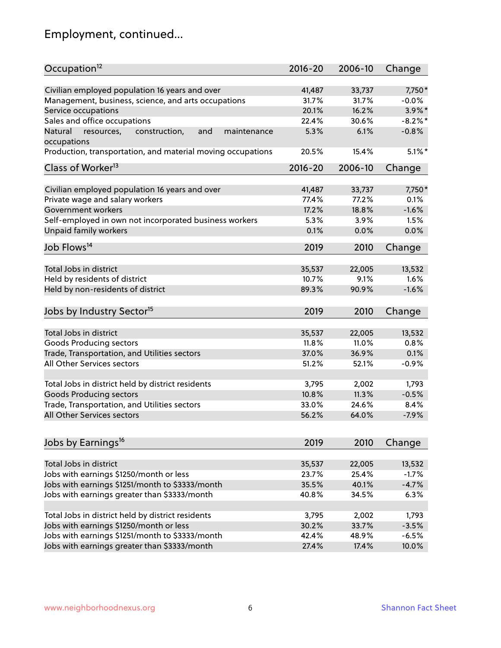# Employment, continued...

| Civilian employed population 16 years and over<br>7,750*<br>41,487<br>33,737<br>Management, business, science, and arts occupations<br>31.7%<br>31.7%<br>$-0.0%$<br>20.1%<br>16.2%<br>$3.9\%$ *<br>Service occupations<br>Sales and office occupations<br>22.4%<br>30.6%<br>$-8.2\%$ *<br>6.1%<br>$-0.8%$<br>Natural<br>and<br>5.3%<br>resources,<br>construction,<br>maintenance<br>$5.1\%$ *<br>20.5%<br>15.4%<br>$2016 - 20$<br>2006-10<br>Change<br>Civilian employed population 16 years and over<br>7,750*<br>41,487<br>33,737<br>Private wage and salary workers<br>77.4%<br>77.2%<br>0.1%<br>18.8%<br>$-1.6%$<br>Government workers<br>17.2%<br>Self-employed in own not incorporated business workers<br>5.3%<br>1.5%<br>3.9%<br>Unpaid family workers<br>0.0%<br>0.1%<br>0.0%<br>2019<br>2010<br>Change<br>Total Jobs in district<br>35,537<br>22,005<br>13,532<br>Held by residents of district<br>1.6%<br>10.7%<br>9.1%<br>Held by non-residents of district<br>$-1.6%$<br>89.3%<br>90.9%<br>2019<br>2010<br>Change<br>Total Jobs in district<br>35,537<br>22,005<br>13,532<br>Goods Producing sectors<br>11.8%<br>11.0%<br>0.8%<br>Trade, Transportation, and Utilities sectors<br>37.0%<br>36.9%<br>0.1%<br>All Other Services sectors<br>51.2%<br>$-0.9%$<br>52.1%<br>Total Jobs in district held by district residents<br>3,795<br>2,002<br>1,793<br><b>Goods Producing sectors</b><br>11.3%<br>$-0.5%$<br>10.8%<br>Trade, Transportation, and Utilities sectors<br>33.0%<br>24.6%<br>8.4%<br>56.2%<br>64.0%<br>$-7.9%$<br>2019<br>2010<br>Change<br>Total Jobs in district<br>35,537<br>22,005<br>13,532<br>Jobs with earnings \$1250/month or less<br>25.4%<br>$-1.7%$<br>23.7%<br>Jobs with earnings \$1251/month to \$3333/month<br>$-4.7%$<br>35.5%<br>40.1%<br>Jobs with earnings greater than \$3333/month<br>6.3%<br>40.8%<br>34.5%<br>Total Jobs in district held by district residents<br>3,795<br>2,002<br>1,793 | Occupation <sup>12</sup>                                    | $2016 - 20$ | 2006-10 | Change |
|---------------------------------------------------------------------------------------------------------------------------------------------------------------------------------------------------------------------------------------------------------------------------------------------------------------------------------------------------------------------------------------------------------------------------------------------------------------------------------------------------------------------------------------------------------------------------------------------------------------------------------------------------------------------------------------------------------------------------------------------------------------------------------------------------------------------------------------------------------------------------------------------------------------------------------------------------------------------------------------------------------------------------------------------------------------------------------------------------------------------------------------------------------------------------------------------------------------------------------------------------------------------------------------------------------------------------------------------------------------------------------------------------------------------------------------------------------------------------------------------------------------------------------------------------------------------------------------------------------------------------------------------------------------------------------------------------------------------------------------------------------------------------------------------------------------------------------------------------------------------------------------------------------------------------------------------|-------------------------------------------------------------|-------------|---------|--------|
|                                                                                                                                                                                                                                                                                                                                                                                                                                                                                                                                                                                                                                                                                                                                                                                                                                                                                                                                                                                                                                                                                                                                                                                                                                                                                                                                                                                                                                                                                                                                                                                                                                                                                                                                                                                                                                                                                                                                             |                                                             |             |         |        |
|                                                                                                                                                                                                                                                                                                                                                                                                                                                                                                                                                                                                                                                                                                                                                                                                                                                                                                                                                                                                                                                                                                                                                                                                                                                                                                                                                                                                                                                                                                                                                                                                                                                                                                                                                                                                                                                                                                                                             |                                                             |             |         |        |
|                                                                                                                                                                                                                                                                                                                                                                                                                                                                                                                                                                                                                                                                                                                                                                                                                                                                                                                                                                                                                                                                                                                                                                                                                                                                                                                                                                                                                                                                                                                                                                                                                                                                                                                                                                                                                                                                                                                                             |                                                             |             |         |        |
|                                                                                                                                                                                                                                                                                                                                                                                                                                                                                                                                                                                                                                                                                                                                                                                                                                                                                                                                                                                                                                                                                                                                                                                                                                                                                                                                                                                                                                                                                                                                                                                                                                                                                                                                                                                                                                                                                                                                             |                                                             |             |         |        |
|                                                                                                                                                                                                                                                                                                                                                                                                                                                                                                                                                                                                                                                                                                                                                                                                                                                                                                                                                                                                                                                                                                                                                                                                                                                                                                                                                                                                                                                                                                                                                                                                                                                                                                                                                                                                                                                                                                                                             |                                                             |             |         |        |
|                                                                                                                                                                                                                                                                                                                                                                                                                                                                                                                                                                                                                                                                                                                                                                                                                                                                                                                                                                                                                                                                                                                                                                                                                                                                                                                                                                                                                                                                                                                                                                                                                                                                                                                                                                                                                                                                                                                                             | occupations                                                 |             |         |        |
|                                                                                                                                                                                                                                                                                                                                                                                                                                                                                                                                                                                                                                                                                                                                                                                                                                                                                                                                                                                                                                                                                                                                                                                                                                                                                                                                                                                                                                                                                                                                                                                                                                                                                                                                                                                                                                                                                                                                             | Production, transportation, and material moving occupations |             |         |        |
|                                                                                                                                                                                                                                                                                                                                                                                                                                                                                                                                                                                                                                                                                                                                                                                                                                                                                                                                                                                                                                                                                                                                                                                                                                                                                                                                                                                                                                                                                                                                                                                                                                                                                                                                                                                                                                                                                                                                             | Class of Worker <sup>13</sup>                               |             |         |        |
|                                                                                                                                                                                                                                                                                                                                                                                                                                                                                                                                                                                                                                                                                                                                                                                                                                                                                                                                                                                                                                                                                                                                                                                                                                                                                                                                                                                                                                                                                                                                                                                                                                                                                                                                                                                                                                                                                                                                             |                                                             |             |         |        |
|                                                                                                                                                                                                                                                                                                                                                                                                                                                                                                                                                                                                                                                                                                                                                                                                                                                                                                                                                                                                                                                                                                                                                                                                                                                                                                                                                                                                                                                                                                                                                                                                                                                                                                                                                                                                                                                                                                                                             |                                                             |             |         |        |
|                                                                                                                                                                                                                                                                                                                                                                                                                                                                                                                                                                                                                                                                                                                                                                                                                                                                                                                                                                                                                                                                                                                                                                                                                                                                                                                                                                                                                                                                                                                                                                                                                                                                                                                                                                                                                                                                                                                                             |                                                             |             |         |        |
|                                                                                                                                                                                                                                                                                                                                                                                                                                                                                                                                                                                                                                                                                                                                                                                                                                                                                                                                                                                                                                                                                                                                                                                                                                                                                                                                                                                                                                                                                                                                                                                                                                                                                                                                                                                                                                                                                                                                             |                                                             |             |         |        |
|                                                                                                                                                                                                                                                                                                                                                                                                                                                                                                                                                                                                                                                                                                                                                                                                                                                                                                                                                                                                                                                                                                                                                                                                                                                                                                                                                                                                                                                                                                                                                                                                                                                                                                                                                                                                                                                                                                                                             |                                                             |             |         |        |
|                                                                                                                                                                                                                                                                                                                                                                                                                                                                                                                                                                                                                                                                                                                                                                                                                                                                                                                                                                                                                                                                                                                                                                                                                                                                                                                                                                                                                                                                                                                                                                                                                                                                                                                                                                                                                                                                                                                                             |                                                             |             |         |        |
|                                                                                                                                                                                                                                                                                                                                                                                                                                                                                                                                                                                                                                                                                                                                                                                                                                                                                                                                                                                                                                                                                                                                                                                                                                                                                                                                                                                                                                                                                                                                                                                                                                                                                                                                                                                                                                                                                                                                             | Job Flows <sup>14</sup>                                     |             |         |        |
|                                                                                                                                                                                                                                                                                                                                                                                                                                                                                                                                                                                                                                                                                                                                                                                                                                                                                                                                                                                                                                                                                                                                                                                                                                                                                                                                                                                                                                                                                                                                                                                                                                                                                                                                                                                                                                                                                                                                             |                                                             |             |         |        |
|                                                                                                                                                                                                                                                                                                                                                                                                                                                                                                                                                                                                                                                                                                                                                                                                                                                                                                                                                                                                                                                                                                                                                                                                                                                                                                                                                                                                                                                                                                                                                                                                                                                                                                                                                                                                                                                                                                                                             |                                                             |             |         |        |
|                                                                                                                                                                                                                                                                                                                                                                                                                                                                                                                                                                                                                                                                                                                                                                                                                                                                                                                                                                                                                                                                                                                                                                                                                                                                                                                                                                                                                                                                                                                                                                                                                                                                                                                                                                                                                                                                                                                                             |                                                             |             |         |        |
|                                                                                                                                                                                                                                                                                                                                                                                                                                                                                                                                                                                                                                                                                                                                                                                                                                                                                                                                                                                                                                                                                                                                                                                                                                                                                                                                                                                                                                                                                                                                                                                                                                                                                                                                                                                                                                                                                                                                             |                                                             |             |         |        |
|                                                                                                                                                                                                                                                                                                                                                                                                                                                                                                                                                                                                                                                                                                                                                                                                                                                                                                                                                                                                                                                                                                                                                                                                                                                                                                                                                                                                                                                                                                                                                                                                                                                                                                                                                                                                                                                                                                                                             | Jobs by Industry Sector <sup>15</sup>                       |             |         |        |
|                                                                                                                                                                                                                                                                                                                                                                                                                                                                                                                                                                                                                                                                                                                                                                                                                                                                                                                                                                                                                                                                                                                                                                                                                                                                                                                                                                                                                                                                                                                                                                                                                                                                                                                                                                                                                                                                                                                                             |                                                             |             |         |        |
|                                                                                                                                                                                                                                                                                                                                                                                                                                                                                                                                                                                                                                                                                                                                                                                                                                                                                                                                                                                                                                                                                                                                                                                                                                                                                                                                                                                                                                                                                                                                                                                                                                                                                                                                                                                                                                                                                                                                             |                                                             |             |         |        |
|                                                                                                                                                                                                                                                                                                                                                                                                                                                                                                                                                                                                                                                                                                                                                                                                                                                                                                                                                                                                                                                                                                                                                                                                                                                                                                                                                                                                                                                                                                                                                                                                                                                                                                                                                                                                                                                                                                                                             |                                                             |             |         |        |
|                                                                                                                                                                                                                                                                                                                                                                                                                                                                                                                                                                                                                                                                                                                                                                                                                                                                                                                                                                                                                                                                                                                                                                                                                                                                                                                                                                                                                                                                                                                                                                                                                                                                                                                                                                                                                                                                                                                                             |                                                             |             |         |        |
|                                                                                                                                                                                                                                                                                                                                                                                                                                                                                                                                                                                                                                                                                                                                                                                                                                                                                                                                                                                                                                                                                                                                                                                                                                                                                                                                                                                                                                                                                                                                                                                                                                                                                                                                                                                                                                                                                                                                             |                                                             |             |         |        |
|                                                                                                                                                                                                                                                                                                                                                                                                                                                                                                                                                                                                                                                                                                                                                                                                                                                                                                                                                                                                                                                                                                                                                                                                                                                                                                                                                                                                                                                                                                                                                                                                                                                                                                                                                                                                                                                                                                                                             |                                                             |             |         |        |
|                                                                                                                                                                                                                                                                                                                                                                                                                                                                                                                                                                                                                                                                                                                                                                                                                                                                                                                                                                                                                                                                                                                                                                                                                                                                                                                                                                                                                                                                                                                                                                                                                                                                                                                                                                                                                                                                                                                                             |                                                             |             |         |        |
|                                                                                                                                                                                                                                                                                                                                                                                                                                                                                                                                                                                                                                                                                                                                                                                                                                                                                                                                                                                                                                                                                                                                                                                                                                                                                                                                                                                                                                                                                                                                                                                                                                                                                                                                                                                                                                                                                                                                             |                                                             |             |         |        |
|                                                                                                                                                                                                                                                                                                                                                                                                                                                                                                                                                                                                                                                                                                                                                                                                                                                                                                                                                                                                                                                                                                                                                                                                                                                                                                                                                                                                                                                                                                                                                                                                                                                                                                                                                                                                                                                                                                                                             | All Other Services sectors                                  |             |         |        |
|                                                                                                                                                                                                                                                                                                                                                                                                                                                                                                                                                                                                                                                                                                                                                                                                                                                                                                                                                                                                                                                                                                                                                                                                                                                                                                                                                                                                                                                                                                                                                                                                                                                                                                                                                                                                                                                                                                                                             |                                                             |             |         |        |
|                                                                                                                                                                                                                                                                                                                                                                                                                                                                                                                                                                                                                                                                                                                                                                                                                                                                                                                                                                                                                                                                                                                                                                                                                                                                                                                                                                                                                                                                                                                                                                                                                                                                                                                                                                                                                                                                                                                                             | Jobs by Earnings <sup>16</sup>                              |             |         |        |
|                                                                                                                                                                                                                                                                                                                                                                                                                                                                                                                                                                                                                                                                                                                                                                                                                                                                                                                                                                                                                                                                                                                                                                                                                                                                                                                                                                                                                                                                                                                                                                                                                                                                                                                                                                                                                                                                                                                                             |                                                             |             |         |        |
|                                                                                                                                                                                                                                                                                                                                                                                                                                                                                                                                                                                                                                                                                                                                                                                                                                                                                                                                                                                                                                                                                                                                                                                                                                                                                                                                                                                                                                                                                                                                                                                                                                                                                                                                                                                                                                                                                                                                             |                                                             |             |         |        |
|                                                                                                                                                                                                                                                                                                                                                                                                                                                                                                                                                                                                                                                                                                                                                                                                                                                                                                                                                                                                                                                                                                                                                                                                                                                                                                                                                                                                                                                                                                                                                                                                                                                                                                                                                                                                                                                                                                                                             |                                                             |             |         |        |
|                                                                                                                                                                                                                                                                                                                                                                                                                                                                                                                                                                                                                                                                                                                                                                                                                                                                                                                                                                                                                                                                                                                                                                                                                                                                                                                                                                                                                                                                                                                                                                                                                                                                                                                                                                                                                                                                                                                                             |                                                             |             |         |        |
|                                                                                                                                                                                                                                                                                                                                                                                                                                                                                                                                                                                                                                                                                                                                                                                                                                                                                                                                                                                                                                                                                                                                                                                                                                                                                                                                                                                                                                                                                                                                                                                                                                                                                                                                                                                                                                                                                                                                             |                                                             |             |         |        |
|                                                                                                                                                                                                                                                                                                                                                                                                                                                                                                                                                                                                                                                                                                                                                                                                                                                                                                                                                                                                                                                                                                                                                                                                                                                                                                                                                                                                                                                                                                                                                                                                                                                                                                                                                                                                                                                                                                                                             |                                                             |             |         |        |
| 30.2%<br>33.7%<br>$-3.5%$                                                                                                                                                                                                                                                                                                                                                                                                                                                                                                                                                                                                                                                                                                                                                                                                                                                                                                                                                                                                                                                                                                                                                                                                                                                                                                                                                                                                                                                                                                                                                                                                                                                                                                                                                                                                                                                                                                                   | Jobs with earnings \$1250/month or less                     |             |         |        |
| 42.4%<br>48.9%<br>$-6.5%$                                                                                                                                                                                                                                                                                                                                                                                                                                                                                                                                                                                                                                                                                                                                                                                                                                                                                                                                                                                                                                                                                                                                                                                                                                                                                                                                                                                                                                                                                                                                                                                                                                                                                                                                                                                                                                                                                                                   | Jobs with earnings \$1251/month to \$3333/month             |             |         |        |
| 27.4%<br>17.4%<br>10.0%                                                                                                                                                                                                                                                                                                                                                                                                                                                                                                                                                                                                                                                                                                                                                                                                                                                                                                                                                                                                                                                                                                                                                                                                                                                                                                                                                                                                                                                                                                                                                                                                                                                                                                                                                                                                                                                                                                                     | Jobs with earnings greater than \$3333/month                |             |         |        |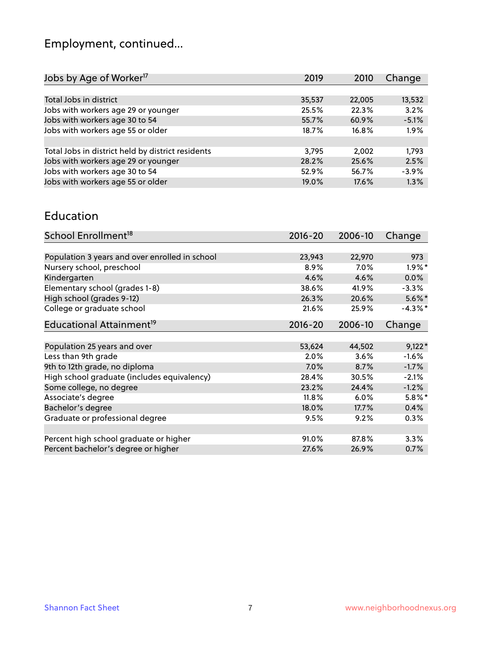# Employment, continued...

| Jobs by Age of Worker <sup>17</sup>               | 2019   | 2010   | Change  |
|---------------------------------------------------|--------|--------|---------|
|                                                   |        |        |         |
| Total Jobs in district                            | 35,537 | 22,005 | 13,532  |
| Jobs with workers age 29 or younger               | 25.5%  | 22.3%  | 3.2%    |
| Jobs with workers age 30 to 54                    | 55.7%  | 60.9%  | $-5.1%$ |
| Jobs with workers age 55 or older                 | 18.7%  | 16.8%  | 1.9%    |
|                                                   |        |        |         |
| Total Jobs in district held by district residents | 3,795  | 2,002  | 1,793   |
| Jobs with workers age 29 or younger               | 28.2%  | 25.6%  | 2.5%    |
| Jobs with workers age 30 to 54                    | 52.9%  | 56.7%  | $-3.9%$ |
| Jobs with workers age 55 or older                 | 19.0%  | 17.6%  | 1.3%    |
|                                                   |        |        |         |

#### Education

| School Enrollment <sup>18</sup>                | $2016 - 20$ | 2006-10 | Change     |
|------------------------------------------------|-------------|---------|------------|
|                                                |             |         |            |
| Population 3 years and over enrolled in school | 23,943      | 22,970  | 973        |
| Nursery school, preschool                      | 8.9%        | 7.0%    | $1.9\%$ *  |
| Kindergarten                                   | 4.6%        | 4.6%    | 0.0%       |
| Elementary school (grades 1-8)                 | 38.6%       | 41.9%   | $-3.3\%$   |
| High school (grades 9-12)                      | 26.3%       | 20.6%   | $5.6\%$ *  |
| College or graduate school                     | 21.6%       | 25.9%   | $-4.3\%$ * |
| Educational Attainment <sup>19</sup>           | $2016 - 20$ | 2006-10 | Change     |
|                                                |             |         |            |
| Population 25 years and over                   | 53,624      | 44,502  | $9,122*$   |
| Less than 9th grade                            | 2.0%        | 3.6%    | $-1.6%$    |
| 9th to 12th grade, no diploma                  | 7.0%        | 8.7%    | $-1.7%$    |
| High school graduate (includes equivalency)    | 28.4%       | 30.5%   | $-2.1%$    |
| Some college, no degree                        | 23.2%       | 24.4%   | $-1.2%$    |
| Associate's degree                             | 11.8%       | 6.0%    | $5.8\%$ *  |
| Bachelor's degree                              | 18.0%       | 17.7%   | 0.4%       |
| Graduate or professional degree                | 9.5%        | 9.2%    | 0.3%       |
|                                                |             |         |            |
| Percent high school graduate or higher         | 91.0%       | 87.8%   | 3.3%       |
| Percent bachelor's degree or higher            | 27.6%       | 26.9%   | 0.7%       |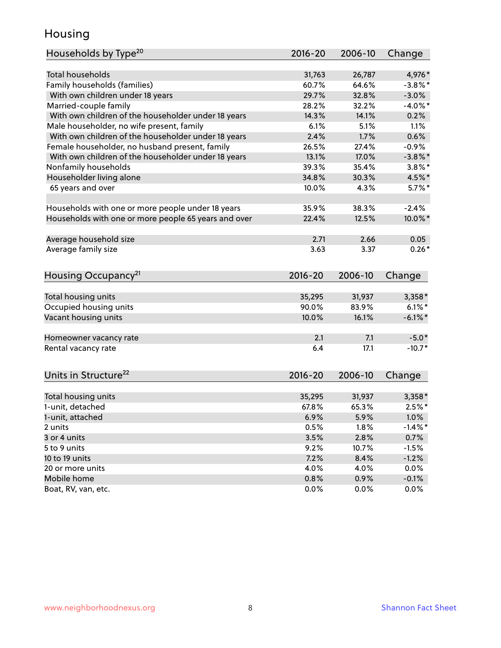## Housing

| Households by Type <sup>20</sup>                     | 2016-20     | 2006-10 | Change     |
|------------------------------------------------------|-------------|---------|------------|
|                                                      |             |         |            |
| <b>Total households</b>                              | 31,763      | 26,787  | 4,976*     |
| Family households (families)                         | 60.7%       | 64.6%   | $-3.8\%$ * |
| With own children under 18 years                     | 29.7%       | 32.8%   | $-3.0%$    |
| Married-couple family                                | 28.2%       | 32.2%   | $-4.0\%$ * |
| With own children of the householder under 18 years  | 14.3%       | 14.1%   | 0.2%       |
| Male householder, no wife present, family            | 6.1%        | 5.1%    | 1.1%       |
| With own children of the householder under 18 years  | 2.4%        | 1.7%    | 0.6%       |
| Female householder, no husband present, family       | 26.5%       | 27.4%   | $-0.9%$    |
| With own children of the householder under 18 years  | 13.1%       | 17.0%   | $-3.8\%$ * |
| Nonfamily households                                 | 39.3%       | 35.4%   | $3.8\%$ *  |
| Householder living alone                             | 34.8%       | 30.3%   | 4.5%*      |
| 65 years and over                                    | 10.0%       | 4.3%    | $5.7\%$ *  |
|                                                      |             |         |            |
| Households with one or more people under 18 years    | 35.9%       | 38.3%   | $-2.4%$    |
| Households with one or more people 65 years and over | 22.4%       | 12.5%   | 10.0%*     |
|                                                      |             |         |            |
| Average household size                               | 2.71        | 2.66    | 0.05       |
| Average family size                                  | 3.63        | 3.37    | $0.26*$    |
| Housing Occupancy <sup>21</sup>                      | $2016 - 20$ | 2006-10 | Change     |
|                                                      |             |         |            |
| Total housing units                                  | 35,295      | 31,937  | 3,358*     |
| Occupied housing units                               | 90.0%       | 83.9%   | $6.1\%$ *  |
| Vacant housing units                                 | 10.0%       | 16.1%   | $-6.1\%$ * |
|                                                      |             |         |            |
| Homeowner vacancy rate                               | 2.1         | 7.1     | $-5.0*$    |
| Rental vacancy rate                                  | 6.4         | 17.1    | $-10.7*$   |
|                                                      |             |         |            |
| Units in Structure <sup>22</sup>                     | $2016 - 20$ | 2006-10 | Change     |
| Total housing units                                  | 35,295      | 31,937  | $3,358*$   |
| 1-unit, detached                                     | 67.8%       | 65.3%   | $2.5%$ *   |
| 1-unit, attached                                     | 6.9%        | 5.9%    | $1.0\%$    |
| 2 units                                              | 0.5%        | 1.8%    | $-1.4%$ *  |
| 3 or 4 units                                         | 3.5%        | 2.8%    |            |
|                                                      |             |         | 0.7%       |
| 5 to 9 units                                         | 9.2%        | 10.7%   | $-1.5%$    |
| 10 to 19 units                                       | 7.2%        | 8.4%    | $-1.2%$    |
| 20 or more units                                     | 4.0%        | 4.0%    | $0.0\%$    |
| Mobile home                                          | 0.8%        | 0.9%    | $-0.1%$    |
| Boat, RV, van, etc.                                  | 0.0%        | 0.0%    | 0.0%       |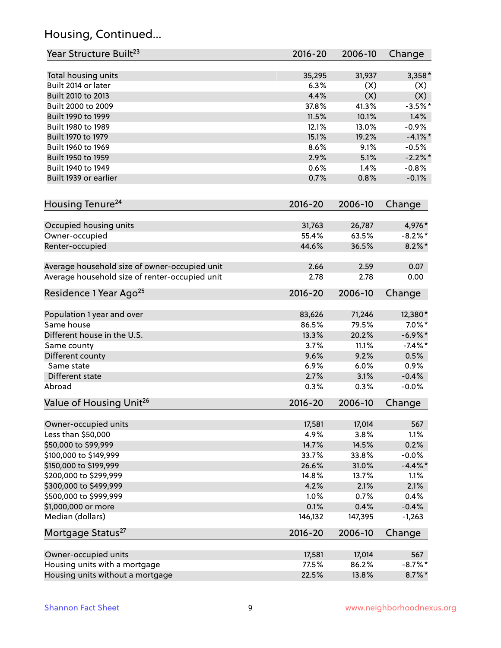## Housing, Continued...

| Year Structure Built <sup>23</sup>             | 2016-20     | 2006-10 | Change     |
|------------------------------------------------|-------------|---------|------------|
| Total housing units                            | 35,295      | 31,937  | $3,358*$   |
| Built 2014 or later                            | 6.3%        | (X)     | (X)        |
| Built 2010 to 2013                             | 4.4%        | (X)     | (X)        |
| Built 2000 to 2009                             | 37.8%       | 41.3%   | $-3.5%$ *  |
| Built 1990 to 1999                             | 11.5%       | 10.1%   | 1.4%       |
| Built 1980 to 1989                             | 12.1%       | 13.0%   | $-0.9%$    |
| Built 1970 to 1979                             | 15.1%       | 19.2%   | $-4.1\%$ * |
| Built 1960 to 1969                             | 8.6%        | 9.1%    | $-0.5%$    |
| Built 1950 to 1959                             | 2.9%        | 5.1%    | $-2.2\%$ * |
| Built 1940 to 1949                             | 0.6%        | 1.4%    | $-0.8%$    |
| Built 1939 or earlier                          | 0.7%        | 0.8%    | $-0.1%$    |
| Housing Tenure <sup>24</sup>                   | $2016 - 20$ | 2006-10 | Change     |
| Occupied housing units                         | 31,763      | 26,787  | 4,976*     |
| Owner-occupied                                 | 55.4%       | 63.5%   | $-8.2\%$ * |
| Renter-occupied                                | 44.6%       | 36.5%   | $8.2\%$ *  |
|                                                |             |         |            |
| Average household size of owner-occupied unit  | 2.66        | 2.59    | 0.07       |
| Average household size of renter-occupied unit | 2.78        | 2.78    | 0.00       |
| Residence 1 Year Ago <sup>25</sup>             | $2016 - 20$ | 2006-10 | Change     |
|                                                |             |         |            |
| Population 1 year and over                     | 83,626      | 71,246  | 12,380*    |
| Same house                                     | 86.5%       | 79.5%   | $7.0\%$ *  |
| Different house in the U.S.                    | 13.3%       | 20.2%   | $-6.9\%$ * |
| Same county                                    | 3.7%        | 11.1%   | $-7.4\%$ * |
| Different county                               | 9.6%        | 9.2%    | 0.5%       |
| Same state                                     | 6.9%        | 6.0%    | 0.9%       |
| Different state                                | 2.7%        | 3.1%    | $-0.4%$    |
| Abroad                                         | 0.3%        | 0.3%    | $-0.0%$    |
| Value of Housing Unit <sup>26</sup>            | $2016 - 20$ | 2006-10 | Change     |
| Owner-occupied units                           | 17,581      | 17,014  | 567        |
| Less than \$50,000                             | 4.9%        | 3.8%    | 1.1%       |
| \$50,000 to \$99,999                           | 14.7%       | 14.5%   | 0.2%       |
| \$100,000 to \$149,999                         | 33.7%       | 33.8%   | $-0.0%$    |
| \$150,000 to \$199,999                         | 26.6%       | 31.0%   | $-4.4\%$ * |
| \$200,000 to \$299,999                         | 14.8%       | 13.7%   | 1.1%       |
| \$300,000 to \$499,999                         | 4.2%        | 2.1%    | 2.1%       |
| \$500,000 to \$999,999                         | 1.0%        | 0.7%    | 0.4%       |
| \$1,000,000 or more                            | 0.1%        | 0.4%    | $-0.4%$    |
| Median (dollars)                               | 146,132     | 147,395 | $-1,263$   |
| Mortgage Status <sup>27</sup>                  | $2016 - 20$ | 2006-10 | Change     |
| Owner-occupied units                           | 17,581      | 17,014  | 567        |
| Housing units with a mortgage                  | 77.5%       | 86.2%   | $-8.7\%$ * |
| Housing units without a mortgage               | 22.5%       | 13.8%   | $8.7\%$ *  |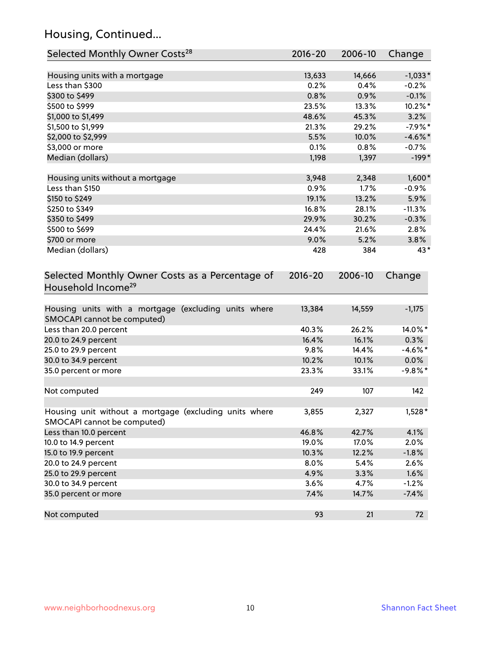## Housing, Continued...

| Selected Monthly Owner Costs <sup>28</sup>                                            | 2016-20 | 2006-10 | Change     |
|---------------------------------------------------------------------------------------|---------|---------|------------|
| Housing units with a mortgage                                                         | 13,633  | 14,666  | $-1,033*$  |
| Less than \$300                                                                       | 0.2%    | 0.4%    | $-0.2%$    |
| \$300 to \$499                                                                        | 0.8%    | 0.9%    | $-0.1%$    |
| \$500 to \$999                                                                        | 23.5%   | 13.3%   | 10.2%*     |
| \$1,000 to \$1,499                                                                    | 48.6%   | 45.3%   | 3.2%       |
| \$1,500 to \$1,999                                                                    | 21.3%   | 29.2%   | $-7.9%$ *  |
| \$2,000 to \$2,999                                                                    | 5.5%    | 10.0%   | $-4.6\%$ * |
| \$3,000 or more                                                                       | 0.1%    | 0.8%    | $-0.7%$    |
| Median (dollars)                                                                      | 1,198   | 1,397   | $-199*$    |
| Housing units without a mortgage                                                      | 3,948   | 2,348   | $1,600*$   |
| Less than \$150                                                                       | 0.9%    | 1.7%    | $-0.9%$    |
| \$150 to \$249                                                                        | 19.1%   | 13.2%   | 5.9%       |
| \$250 to \$349                                                                        | 16.8%   | 28.1%   | $-11.3%$   |
| \$350 to \$499                                                                        | 29.9%   | 30.2%   | $-0.3%$    |
| \$500 to \$699                                                                        | 24.4%   | 21.6%   | 2.8%       |
| \$700 or more                                                                         | 9.0%    | 5.2%    | 3.8%       |
| Median (dollars)                                                                      | 428     | 384     | 43*        |
| Selected Monthly Owner Costs as a Percentage of<br>Household Income <sup>29</sup>     |         |         | Change     |
| Housing units with a mortgage (excluding units where<br>SMOCAPI cannot be computed)   | 13,384  | 14,559  | $-1,175$   |
| Less than 20.0 percent                                                                | 40.3%   | 26.2%   | 14.0%*     |
| 20.0 to 24.9 percent                                                                  | 16.4%   | 16.1%   | 0.3%       |
| 25.0 to 29.9 percent                                                                  | 9.8%    | 14.4%   | $-4.6\%$ * |
| 30.0 to 34.9 percent                                                                  | 10.2%   | 10.1%   | $0.0\%$    |
| 35.0 percent or more                                                                  | 23.3%   | 33.1%   | $-9.8\%$ * |
| Not computed                                                                          | 249     | 107     | 142        |
| Housing unit without a mortgage (excluding units where<br>SMOCAPI cannot be computed) | 3,855   | 2,327   | $1,528*$   |
| Less than 10.0 percent                                                                | 46.8%   | 42.7%   | 4.1%       |
| 10.0 to 14.9 percent                                                                  | 19.0%   | 17.0%   | 2.0%       |
| 15.0 to 19.9 percent                                                                  | 10.3%   | 12.2%   | $-1.8%$    |
| 20.0 to 24.9 percent                                                                  | 8.0%    | 5.4%    | 2.6%       |
| 25.0 to 29.9 percent                                                                  | 4.9%    | 3.3%    | 1.6%       |
| 30.0 to 34.9 percent                                                                  | 3.6%    | 4.7%    | $-1.2%$    |
| 35.0 percent or more                                                                  | 7.4%    | 14.7%   | $-7.4%$    |
| Not computed                                                                          | 93      | 21      | 72         |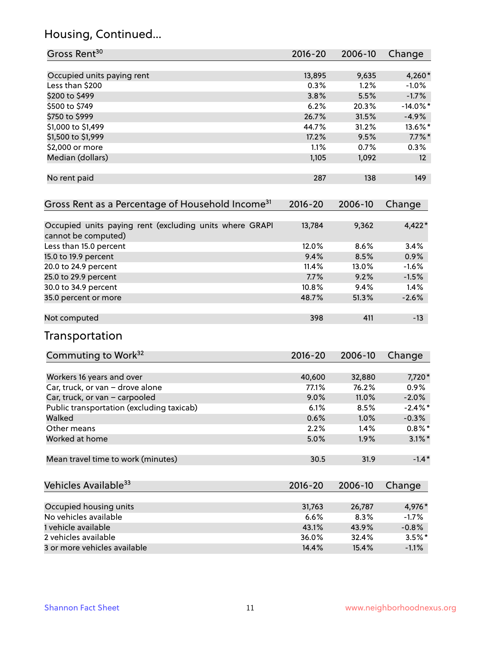## Housing, Continued...

| Gross Rent <sup>30</sup>                                                       | 2016-20     | 2006-10 | Change      |
|--------------------------------------------------------------------------------|-------------|---------|-------------|
|                                                                                |             |         |             |
| Occupied units paying rent                                                     | 13,895      | 9,635   | 4,260*      |
| Less than \$200                                                                | 0.3%        | 1.2%    | $-1.0\%$    |
| \$200 to \$499                                                                 | 3.8%        | 5.5%    | $-1.7%$     |
| \$500 to \$749                                                                 | 6.2%        | 20.3%   | $-14.0\%$ * |
| \$750 to \$999                                                                 | 26.7%       | 31.5%   | $-4.9%$     |
| \$1,000 to \$1,499                                                             | 44.7%       | 31.2%   | 13.6%*      |
| \$1,500 to \$1,999                                                             | 17.2%       | 9.5%    | $7.7\%$ *   |
| \$2,000 or more                                                                | 1.1%        | 0.7%    | $0.3\%$     |
| Median (dollars)                                                               | 1,105       | 1,092   | 12          |
| No rent paid                                                                   | 287         | 138     | 149         |
| Gross Rent as a Percentage of Household Income <sup>31</sup>                   | $2016 - 20$ | 2006-10 | Change      |
| Occupied units paying rent (excluding units where GRAPI<br>cannot be computed) | 13,784      | 9,362   | 4,422*      |
| Less than 15.0 percent                                                         | 12.0%       | 8.6%    | 3.4%        |
| 15.0 to 19.9 percent                                                           | 9.4%        | 8.5%    | 0.9%        |
| 20.0 to 24.9 percent                                                           | 11.4%       | 13.0%   | $-1.6%$     |
| 25.0 to 29.9 percent                                                           | 7.7%        | 9.2%    | $-1.5%$     |
| 30.0 to 34.9 percent                                                           | 10.8%       | 9.4%    | 1.4%        |
| 35.0 percent or more                                                           | 48.7%       | 51.3%   | $-2.6%$     |
| Not computed                                                                   | 398         | 411     | $-13$       |
| Transportation                                                                 |             |         |             |
| Commuting to Work <sup>32</sup>                                                | 2016-20     | 2006-10 | Change      |
| Workers 16 years and over                                                      | 40,600      | 32,880  | 7,720*      |
| Car, truck, or van - drove alone                                               | 77.1%       | 76.2%   | $0.9\%$     |
| Car, truck, or van - carpooled                                                 | 9.0%        | 11.0%   | $-2.0%$     |
| Public transportation (excluding taxicab)                                      | 6.1%        | 8.5%    | $-2.4\%$ *  |
| Walked                                                                         | 0.6%        | 1.0%    | $-0.3%$     |
| Other means                                                                    | 2.2%        | 1.4%    | $0.8\%$ *   |
| Worked at home                                                                 | 5.0%        | 1.9%    | $3.1\%$ *   |
| Mean travel time to work (minutes)                                             | 30.5        | 31.9    | $-1.4*$     |
| Vehicles Available <sup>33</sup>                                               | $2016 - 20$ | 2006-10 | Change      |
| Occupied housing units                                                         | 31,763      | 26,787  | 4,976*      |
| No vehicles available                                                          | 6.6%        | 8.3%    | $-1.7%$     |
| 1 vehicle available                                                            | 43.1%       | 43.9%   | $-0.8%$     |
| 2 vehicles available                                                           | 36.0%       | 32.4%   | $3.5%$ *    |
| 3 or more vehicles available                                                   | 14.4%       | 15.4%   | $-1.1%$     |
|                                                                                |             |         |             |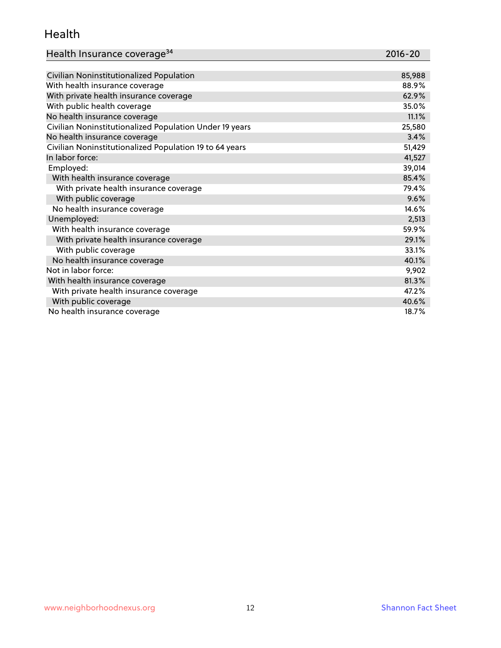#### Health

| Health Insurance coverage <sup>34</sup> | 2016-20 |
|-----------------------------------------|---------|
|-----------------------------------------|---------|

| Civilian Noninstitutionalized Population                | 85,988 |
|---------------------------------------------------------|--------|
| With health insurance coverage                          | 88.9%  |
| With private health insurance coverage                  | 62.9%  |
| With public health coverage                             | 35.0%  |
| No health insurance coverage                            | 11.1%  |
| Civilian Noninstitutionalized Population Under 19 years | 25,580 |
| No health insurance coverage                            | 3.4%   |
| Civilian Noninstitutionalized Population 19 to 64 years | 51,429 |
| In labor force:                                         | 41,527 |
| Employed:                                               | 39,014 |
| With health insurance coverage                          | 85.4%  |
| With private health insurance coverage                  | 79.4%  |
| With public coverage                                    | 9.6%   |
| No health insurance coverage                            | 14.6%  |
| Unemployed:                                             | 2,513  |
| With health insurance coverage                          | 59.9%  |
| With private health insurance coverage                  | 29.1%  |
| With public coverage                                    | 33.1%  |
| No health insurance coverage                            | 40.1%  |
| Not in labor force:                                     | 9,902  |
| With health insurance coverage                          | 81.3%  |
| With private health insurance coverage                  | 47.2%  |
| With public coverage                                    | 40.6%  |
| No health insurance coverage                            | 18.7%  |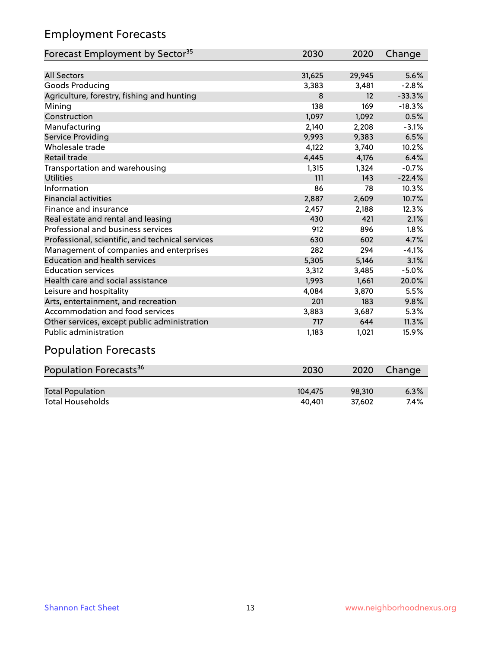## Employment Forecasts

| Forecast Employment by Sector <sup>35</sup>      | 2030   | 2020   | Change   |
|--------------------------------------------------|--------|--------|----------|
|                                                  |        |        |          |
| <b>All Sectors</b>                               | 31,625 | 29,945 | 5.6%     |
| Goods Producing                                  | 3,383  | 3,481  | $-2.8%$  |
| Agriculture, forestry, fishing and hunting       | 8      | 12     | $-33.3%$ |
| Mining                                           | 138    | 169    | $-18.3%$ |
| Construction                                     | 1,097  | 1,092  | 0.5%     |
| Manufacturing                                    | 2,140  | 2,208  | $-3.1%$  |
| Service Providing                                | 9,993  | 9,383  | 6.5%     |
| Wholesale trade                                  | 4,122  | 3,740  | 10.2%    |
| Retail trade                                     | 4,445  | 4,176  | 6.4%     |
| Transportation and warehousing                   | 1,315  | 1,324  | $-0.7%$  |
| <b>Utilities</b>                                 | 111    | 143    | $-22.4%$ |
| Information                                      | 86     | 78     | 10.3%    |
| <b>Financial activities</b>                      | 2,887  | 2,609  | 10.7%    |
| Finance and insurance                            | 2,457  | 2,188  | 12.3%    |
| Real estate and rental and leasing               | 430    | 421    | 2.1%     |
| Professional and business services               | 912    | 896    | 1.8%     |
| Professional, scientific, and technical services | 630    | 602    | 4.7%     |
| Management of companies and enterprises          | 282    | 294    | $-4.1%$  |
| <b>Education and health services</b>             | 5,305  | 5,146  | 3.1%     |
| <b>Education services</b>                        | 3,312  | 3,485  | $-5.0%$  |
| Health care and social assistance                | 1,993  | 1,661  | 20.0%    |
| Leisure and hospitality                          | 4,084  | 3,870  | 5.5%     |
| Arts, entertainment, and recreation              | 201    | 183    | 9.8%     |
| Accommodation and food services                  | 3,883  | 3,687  | 5.3%     |
| Other services, except public administration     | 717    | 644    | 11.3%    |
| <b>Public administration</b>                     | 1,183  | 1,021  | 15.9%    |

# Population Forecasts

| Population Forecasts <sup>36</sup> | 2030    | 2020   | Change |
|------------------------------------|---------|--------|--------|
|                                    |         |        |        |
| <b>Total Population</b>            | 104.475 | 98.310 | 6.3%   |
| <b>Total Households</b>            | 40.401  | 37.602 | 7.4%   |